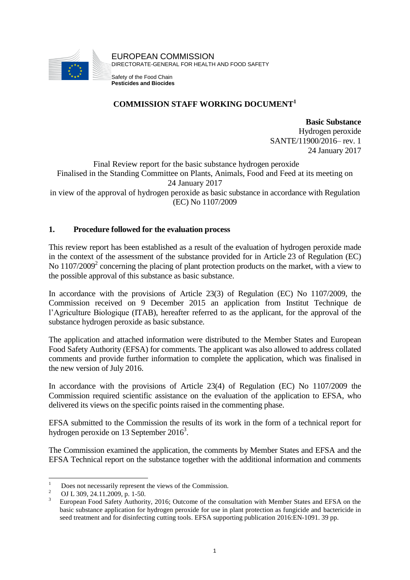

### **COMMISSION STAFF WORKING DOCUMENT<sup>1</sup>**

**Basic Substance** Hydrogen peroxide SANTE/11900/2016– rev. 1 24 January 2017

Final Review report for the basic substance hydrogen peroxide Finalised in the Standing Committee on Plants, Animals, Food and Feed at its meeting on 24 January 2017 in view of the approval of hydrogen peroxide as basic substance in accordance with Regulation (EC) No 1107/2009

#### **1. Procedure followed for the evaluation process**

This review report has been established as a result of the evaluation of hydrogen peroxide made in the context of the assessment of the substance provided for in Article 23 of Regulation (EC) No 1107/2009<sup>2</sup> concerning the placing of plant protection products on the market, with a view to the possible approval of this substance as basic substance.

In accordance with the provisions of Article 23(3) of Regulation (EC) No 1107/2009, the Commission received on 9 December 2015 an application from Institut Technique de l'Agriculture Biologique (ITAB), hereafter referred to as the applicant, for the approval of the substance hydrogen peroxide as basic substance.

The application and attached information were distributed to the Member States and European Food Safety Authority (EFSA) for comments. The applicant was also allowed to address collated comments and provide further information to complete the application, which was finalised in the new version of July 2016.

In accordance with the provisions of Article 23(4) of Regulation (EC) No 1107/2009 the Commission required scientific assistance on the evaluation of the application to EFSA, who delivered its views on the specific points raised in the commenting phase.

EFSA submitted to the Commission the results of its work in the form of a technical report for hydrogen peroxide on 13 September 2016<sup>3</sup>.

The Commission examined the application, the comments by Member States and EFSA and the EFSA Technical report on the substance together with the additional information and comments

 $\overline{1}$  $\frac{1}{2}$  Does not necessarily represent the views of the Commission.

<sup>&</sup>lt;sup>2</sup> OJ L 309, 24.11.2009, p. 1-50.

<sup>3</sup> European Food Safety Authority, 2016; Outcome of the consultation with Member States and EFSA on the basic substance application for hydrogen peroxide for use in plant protection as fungicide and bactericide in seed treatment and for disinfecting cutting tools. EFSA supporting publication 2016:EN-1091. 39 pp.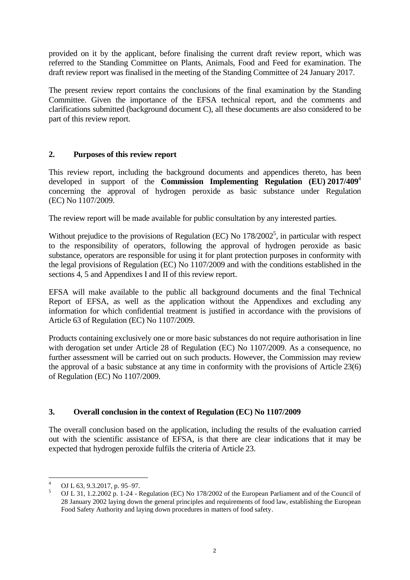provided on it by the applicant, before finalising the current draft review report, which was referred to the Standing Committee on Plants, Animals, Food and Feed for examination. The draft review report was finalised in the meeting of the Standing Committee of 24 January 2017.

The present review report contains the conclusions of the final examination by the Standing Committee. Given the importance of the EFSA technical report, and the comments and clarifications submitted (background document C), all these documents are also considered to be part of this review report.

#### **2. Purposes of this review report**

This review report, including the background documents and appendices thereto, has been developed in support of the **Commission Implementing Regulation (EU) 2017/409**<sup>4</sup> concerning the approval of hydrogen peroxide as basic substance under Regulation (EC) No 1107/2009.

The review report will be made available for public consultation by any interested parties.

Without prejudice to the provisions of Regulation (EC) No  $178/2002^5$ , in particular with respect to the responsibility of operators, following the approval of hydrogen peroxide as basic substance, operators are responsible for using it for plant protection purposes in conformity with the legal provisions of Regulation (EC) No 1107/2009 and with the conditions established in the sections 4, 5 and Appendixes I and II of this review report.

EFSA will make available to the public all background documents and the final Technical Report of EFSA, as well as the application without the Appendixes and excluding any information for which confidential treatment is justified in accordance with the provisions of Article 63 of Regulation (EC) No 1107/2009.

Products containing exclusively one or more basic substances do not require authorisation in line with derogation set under Article 28 of Regulation (EC) No 1107/2009. As a consequence, no further assessment will be carried out on such products. However, the Commission may review the approval of a basic substance at any time in conformity with the provisions of Article 23(6) of Regulation (EC) No 1107/2009.

#### **3. Overall conclusion in the context of Regulation (EC) No 1107/2009**

The overall conclusion based on the application, including the results of the evaluation carried out with the scientific assistance of EFSA, is that there are clear indications that it may be expected that hydrogen peroxide fulfils the criteria of Article 23.

<sup>&</sup>lt;u>.</u> OJ L 63, 9.3.2017, p. 95–97.

<sup>5</sup> OJ L 31, 1.2.2002 p. 1-24 - Regulation (EC) No 178/2002 of the European Parliament and of the Council of 28 January 2002 laying down the general principles and requirements of food law, establishing the European Food Safety Authority and laying down procedures in matters of food safety.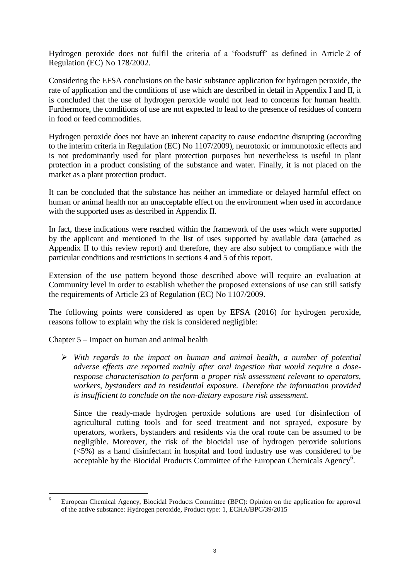Hydrogen peroxide does not fulfil the criteria of a 'foodstuff' as defined in Article 2 of Regulation (EC) No 178/2002.

Considering the EFSA conclusions on the basic substance application for hydrogen peroxide, the rate of application and the conditions of use which are described in detail in Appendix I and II, it is concluded that the use of hydrogen peroxide would not lead to concerns for human health. Furthermore, the conditions of use are not expected to lead to the presence of residues of concern in food or feed commodities.

Hydrogen peroxide does not have an inherent capacity to cause endocrine disrupting (according to the interim criteria in Regulation (EC) No 1107/2009), neurotoxic or immunotoxic effects and is not predominantly used for plant protection purposes but nevertheless is useful in plant protection in a product consisting of the substance and water. Finally, it is not placed on the market as a plant protection product.

It can be concluded that the substance has neither an immediate or delayed harmful effect on human or animal health nor an unacceptable effect on the environment when used in accordance with the supported uses as described in Appendix II.

In fact, these indications were reached within the framework of the uses which were supported by the applicant and mentioned in the list of uses supported by available data (attached as Appendix II to this review report) and therefore, they are also subject to compliance with the particular conditions and restrictions in sections 4 and 5 of this report.

Extension of the use pattern beyond those described above will require an evaluation at Community level in order to establish whether the proposed extensions of use can still satisfy the requirements of Article 23 of Regulation (EC) No 1107/2009.

The following points were considered as open by EFSA (2016) for hydrogen peroxide, reasons follow to explain why the risk is considered negligible:

Chapter 5 – Impact on human and animal health

1

 *With regards to the impact on human and animal health, a number of potential adverse effects are reported mainly after oral ingestion that would require a doseresponse characterisation to perform a proper risk assessment relevant to operators, workers, bystanders and to residential exposure. Therefore the information provided is insufficient to conclude on the non-dietary exposure risk assessment.*

Since the ready-made hydrogen peroxide solutions are used for disinfection of agricultural cutting tools and for seed treatment and not sprayed, exposure by operators, workers, bystanders and residents via the oral route can be assumed to be negligible. Moreover, the risk of the biocidal use of hydrogen peroxide solutions (<5%) as a hand disinfectant in hospital and food industry use was considered to be acceptable by the Biocidal Products Committee of the European Chemicals Agency<sup>6</sup>.

<sup>6</sup> European Chemical Agency, Biocidal Products Committee (BPC): Opinion on the application for approval of the active substance: Hydrogen peroxide, Product type: 1, ECHA/BPC/39/2015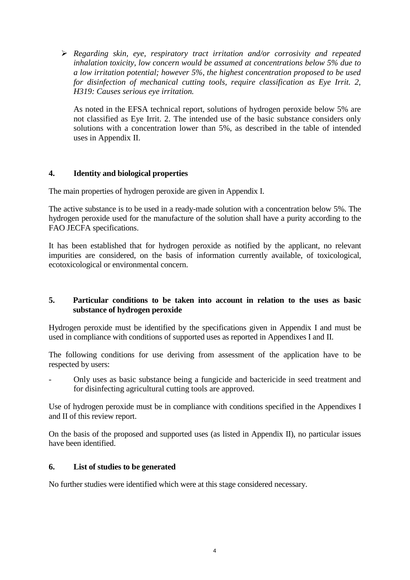*Regarding skin, eye, respiratory tract irritation and/or corrosivity and repeated inhalation toxicity, low concern would be assumed at concentrations below 5% due to a low irritation potential; however 5%, the highest concentration proposed to be used for disinfection of mechanical cutting tools, require classification as Eye Irrit. 2, H319: Causes serious eye irritation.*

As noted in the EFSA technical report, solutions of hydrogen peroxide below 5% are not classified as Eye Irrit. 2. The intended use of the basic substance considers only solutions with a concentration lower than 5%, as described in the table of intended uses in Appendix II.

#### **4. Identity and biological properties**

The main properties of hydrogen peroxide are given in Appendix I.

The active substance is to be used in a ready-made solution with a concentration below 5%. The hydrogen peroxide used for the manufacture of the solution shall have a purity according to the FAO JECFA specifications.

It has been established that for hydrogen peroxide as notified by the applicant, no relevant impurities are considered, on the basis of information currently available, of toxicological, ecotoxicological or environmental concern.

#### **5. Particular conditions to be taken into account in relation to the uses as basic substance of hydrogen peroxide**

Hydrogen peroxide must be identified by the specifications given in Appendix I and must be used in compliance with conditions of supported uses as reported in Appendixes I and II.

The following conditions for use deriving from assessment of the application have to be respected by users:

- Only uses as basic substance being a fungicide and bactericide in seed treatment and for disinfecting agricultural cutting tools are approved.

Use of hydrogen peroxide must be in compliance with conditions specified in the Appendixes I and II of this review report.

On the basis of the proposed and supported uses (as listed in Appendix II), no particular issues have been identified.

#### **6. List of studies to be generated**

No further studies were identified which were at this stage considered necessary.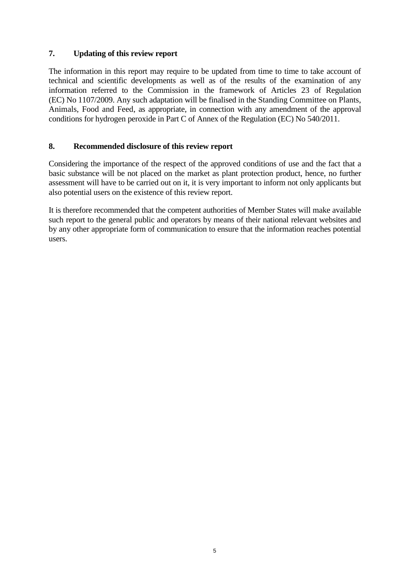#### **7. Updating of this review report**

The information in this report may require to be updated from time to time to take account of technical and scientific developments as well as of the results of the examination of any information referred to the Commission in the framework of Articles 23 of Regulation (EC) No 1107/2009. Any such adaptation will be finalised in the Standing Committee on Plants, Animals, Food and Feed, as appropriate, in connection with any amendment of the approval conditions for hydrogen peroxide in Part C of Annex of the Regulation (EC) No 540/2011.

#### **8. Recommended disclosure of this review report**

Considering the importance of the respect of the approved conditions of use and the fact that a basic substance will be not placed on the market as plant protection product, hence, no further assessment will have to be carried out on it, it is very important to inform not only applicants but also potential users on the existence of this review report.

It is therefore recommended that the competent authorities of Member States will make available such report to the general public and operators by means of their national relevant websites and by any other appropriate form of communication to ensure that the information reaches potential users.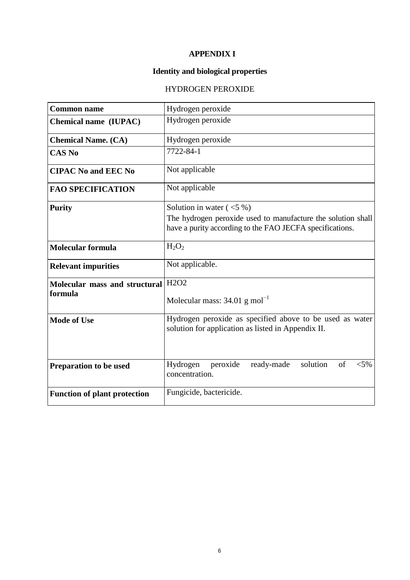## **APPENDIX I**

# **Identity and biological properties**

# HYDROGEN PEROXIDE

| <b>Common name</b>                       | Hydrogen peroxide                                                                                                                                       |  |  |  |  |  |  |  |  |  |  |
|------------------------------------------|---------------------------------------------------------------------------------------------------------------------------------------------------------|--|--|--|--|--|--|--|--|--|--|
| Chemical name (IUPAC)                    | Hydrogen peroxide                                                                                                                                       |  |  |  |  |  |  |  |  |  |  |
| <b>Chemical Name. (CA)</b>               | Hydrogen peroxide                                                                                                                                       |  |  |  |  |  |  |  |  |  |  |
| <b>CAS No</b>                            | 7722-84-1                                                                                                                                               |  |  |  |  |  |  |  |  |  |  |
| <b>CIPAC No and EEC No</b>               | Not applicable                                                                                                                                          |  |  |  |  |  |  |  |  |  |  |
| <b>FAO SPECIFICATION</b>                 | Not applicable                                                                                                                                          |  |  |  |  |  |  |  |  |  |  |
| <b>Purity</b>                            | Solution in water $(<5\%$ )<br>The hydrogen peroxide used to manufacture the solution shall<br>have a purity according to the FAO JECFA specifications. |  |  |  |  |  |  |  |  |  |  |
| <b>Molecular formula</b>                 | $H_2O_2$                                                                                                                                                |  |  |  |  |  |  |  |  |  |  |
| <b>Relevant impurities</b>               | Not applicable.                                                                                                                                         |  |  |  |  |  |  |  |  |  |  |
| Molecular mass and structural<br>formula | H <sub>2</sub> O <sub>2</sub><br>Molecular mass: $34.01$ g mol <sup>-1</sup>                                                                            |  |  |  |  |  |  |  |  |  |  |
| <b>Mode of Use</b>                       | Hydrogen peroxide as specified above to be used as water<br>solution for application as listed in Appendix II.                                          |  |  |  |  |  |  |  |  |  |  |
| Preparation to be used                   | solution<br>of<br>peroxide<br>ready-made<br>$< 5\%$<br>Hydrogen<br>concentration.                                                                       |  |  |  |  |  |  |  |  |  |  |
| <b>Function of plant protection</b>      | Fungicide, bactericide.                                                                                                                                 |  |  |  |  |  |  |  |  |  |  |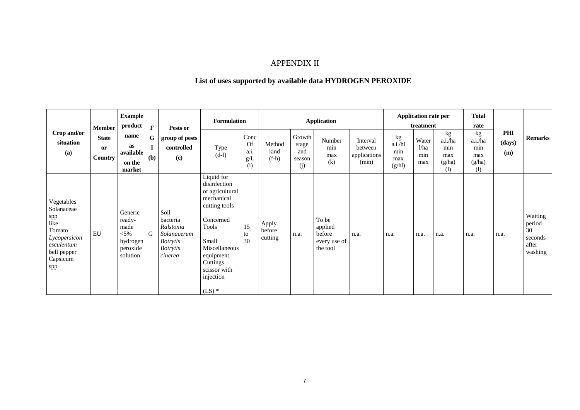# APPENDIX II

## **List of uses supported by available data HYDROGEN PEROXIDE**

| Crop and/or<br>situation<br>(a)                                                                                   | <b>Member</b><br><b>State</b><br>or<br><b>Country</b> | <b>Example</b><br>product<br>name<br><b>as</b><br>available<br>on the<br>market | $\mathbf{F}$<br>G<br>(b) | Pests or<br>group of pests<br>controlled<br>(c)                                               | <b>Formulation</b><br>Type<br>$(d-f)$                                                                                                                                                           | Conc<br>Of<br>a.i.<br>g/L<br>(i) | Method<br>kind<br>$(f-h)$  | Growth<br>stage<br>and<br>season<br>(j) | <b>Application</b><br>Number<br>min<br>max<br>(k)      | Interval<br>between<br>applications<br>(min) | kg<br>a.i./hl<br>$\min$<br>max<br>(g/hl) | Application rate per<br>treatment<br>Water<br>1/ha<br>min<br>max | kg<br>a.i./ha<br>min<br>max<br>(g/ha)<br>(1) | <b>Total</b><br>rate<br>kg<br>a.i./ha<br>min<br>max<br>(g/ha)<br>(1) | PHI<br>(days)<br>(m) | <b>Remarks</b>                                         |
|-------------------------------------------------------------------------------------------------------------------|-------------------------------------------------------|---------------------------------------------------------------------------------|--------------------------|-----------------------------------------------------------------------------------------------|-------------------------------------------------------------------------------------------------------------------------------------------------------------------------------------------------|----------------------------------|----------------------------|-----------------------------------------|--------------------------------------------------------|----------------------------------------------|------------------------------------------|------------------------------------------------------------------|----------------------------------------------|----------------------------------------------------------------------|----------------------|--------------------------------------------------------|
| Vegetables<br>Solanaceae<br>spp<br>like<br>Tomato<br>Lycopersicon<br>esculentum<br>bell pepper<br>Capsicum<br>spp | <b>EU</b>                                             | Generic<br>ready-<br>made<br>$< 5\%$<br>hydrogen<br>peroxide<br>solution        | G                        | Soil<br>bacteria<br>Ralstonia<br>Solanacerum<br><b>Botrytis</b><br><b>Botrytis</b><br>cinerea | Liquid for<br>disinfection<br>of agricultural<br>mechanical<br>cutting tools<br>Concerned<br>Tools<br>Small<br>Miscellaneous<br>equipment:<br>Cuttings<br>scissor with<br>injection<br>$(LS)$ * | 15<br>to<br>30                   | Apply<br>before<br>cutting | n.a.                                    | To be<br>applied<br>before<br>every use of<br>the tool | n.a.                                         | n.a.                                     | n.a.                                                             | n.a.                                         | n.a.                                                                 | n.a.                 | Waiting<br>period<br>30<br>seconds<br>after<br>washing |